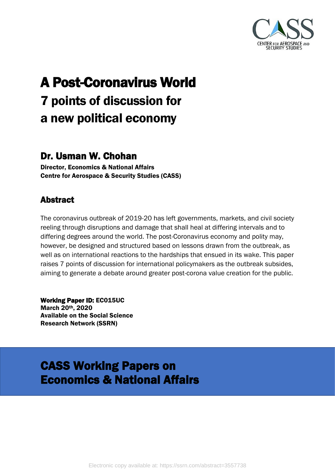

# A Post-Coronavirus World 7 points of discussion for a new political economy

#### Dr. Usman W. Chohan

Director, Economics & National Affairs Centre for Aerospace & Security Studies (CASS)

#### Abstract

The coronavirus outbreak of 2019-20 has left governments, markets, and civil society reeling through disruptions and damage that shall heal at differing intervals and to differing degrees around the world. The post-Coronavirus economy and polity may, however, be designed and structured based on lessons drawn from the outbreak, as well as on international reactions to the hardships that ensued in its wake. This paper raises 7 points of discussion for international policymakers as the outbreak subsides, aiming to generate a debate around greater post-corona value creation for the public.

Working Paper ID: EC015UC March 20th, 2020 Available on the Social Science Research Network (SSRN)

#### CASS Working Papers on Economics & National Affairs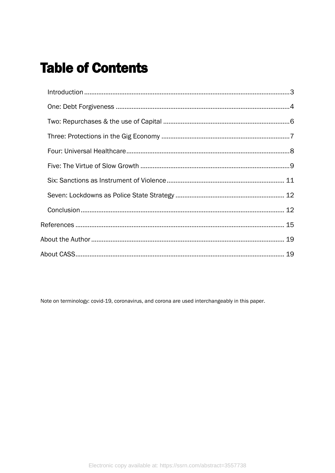# **Table of Contents**

Note on terminology: covid-19, coronavirus, and corona are used interchangeably in this paper.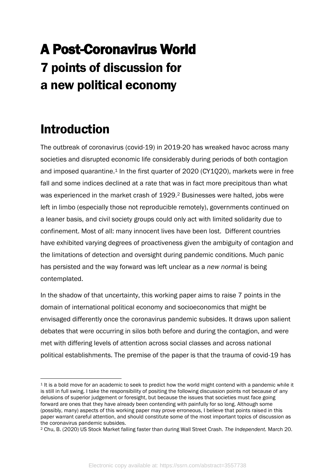# A Post-Coronavirus World 7 points of discussion for a new political economy

# <span id="page-2-0"></span>Introduction

The outbreak of coronavirus (covid-19) in 2019-20 has wreaked havoc across many societies and disrupted economic life considerably during periods of both contagion and imposed quarantine.<sup>1</sup> In the first quarter of 2020 (CY1Q20), markets were in free fall and some indices declined at a rate that was in fact more precipitous than what was experienced in the market crash of 1929.<sup>2</sup> Businesses were halted, jobs were left in limbo (especially those not reproducible remotely), governments continued on a leaner basis, and civil society groups could only act with limited solidarity due to confinement. Most of all: many innocent lives have been lost. Different countries have exhibited varying degrees of proactiveness given the ambiguity of contagion and the limitations of detection and oversight during pandemic conditions. Much panic has persisted and the way forward was left unclear as a *new normal* is being contemplated.

In the shadow of that uncertainty, this working paper aims to raise 7 points in the domain of international political economy and socioeconomics that might be envisaged differently once the coronavirus pandemic subsides. It draws upon salient debates that were occurring in silos both before and during the contagion, and were met with differing levels of attention across social classes and across national political establishments. The premise of the paper is that the trauma of covid-19 has

 $1$  It is a bold move for an academic to seek to predict how the world might contend with a pandemic while it is still in full swing. I take the responsibility of positing the following discussion points not because of any delusions of superior judgement or foresight, but because the issues that societies must face going forward are ones that they have already been contending with painfully for so long. Although some (possibly, many) aspects of this working paper may prove erroneous, I believe that points raised in this paper warrant careful attention, and should constitute some of the most important topics of discussion as the coronavirus pandemic subsides.

<sup>2</sup> Chu, B. (2020) US Stock Market falling faster than during Wall Street Crash. *The Independent.* March 20.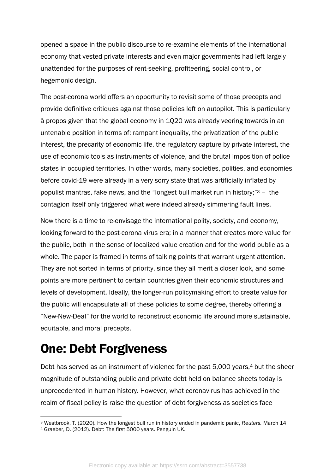opened a space in the public discourse to re-examine elements of the international economy that vested private interests and even major governments had left largely unattended for the purposes of rent-seeking, profiteering, social control, or hegemonic design.

The post-corona world offers an opportunity to revisit some of those precepts and provide definitive critiques against those policies left on autopilot. This is particularly à propos given that the global economy in 1Q20 was already veering towards in an untenable position in terms of: rampant inequality, the privatization of the public interest, the precarity of economic life, the regulatory capture by private interest, the use of economic tools as instruments of violence, and the brutal imposition of police states in occupied territories. In other words, many societies, polities, and economies before covid-19 were already in a very sorry state that was artificially inflated by populist mantras, fake news, and the "longest bull market run in history;" <sup>3</sup> – the contagion itself only triggered what were indeed already simmering fault lines.

Now there is a time to re-envisage the international polity, society, and economy, looking forward to the post-corona virus era; in a manner that creates more value for the public, both in the sense of localized value creation and for the world public as a whole. The paper is framed in terms of talking points that warrant urgent attention. They are not sorted in terms of priority, since they all merit a closer look, and some points are more pertinent to certain countries given their economic structures and levels of development. Ideally, the longer-run policymaking effort to create value for the public will encapsulate all of these policies to some degree, thereby offering a "New-New-Deal" for the world to reconstruct economic life around more sustainable, equitable, and moral precepts.

## <span id="page-3-0"></span>One: Debt Forgiveness

Debt has served as an instrument of violence for the past 5,000 years,<sup>4</sup> but the sheer magnitude of outstanding public and private debt held on balance sheets today is unprecedented in human history. However, what coronavirus has achieved in the realm of fiscal policy is raise the question of debt forgiveness as societies face

<sup>3</sup> Westbrook, T. (2020). How the longest bull run in history ended in pandemic panic, *Reuters.* March 14.

<sup>4</sup> Graeber, D. (2012). Debt: The first 5000 years. Penguin UK.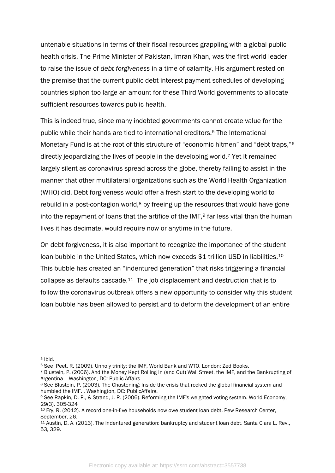untenable situations in terms of their fiscal resources grappling with a global public health crisis. The Prime Minister of Pakistan, Imran Khan, was the first world leader to raise the issue of *debt forgiveness* in a time of calamity. His argument rested on the premise that the current public debt interest payment schedules of developing countries siphon too large an amount for these Third World governments to allocate sufficient resources towards public health.

This is indeed true, since many indebted governments cannot create value for the public while their hands are tied to international creditors.<sup>5</sup> The International Monetary Fund is at the root of this structure of "economic hitmen" and "debt traps,"<sup>6</sup> directly jeopardizing the lives of people in the developing world.<sup>7</sup> Yet it remained largely silent as coronavirus spread across the globe, thereby failing to assist in the manner that other multilateral organizations such as the World Health Organization (WHO) did. Debt forgiveness would offer a fresh start to the developing world to rebuild in a post-contagion world,<sup>8</sup> by freeing up the resources that would have gone into the repayment of loans that the artifice of the  $IMF,9$  far less vital than the human lives it has decimate, would require now or anytime in the future.

On debt forgiveness, it is also important to recognize the importance of the student loan bubble in the United States, which now exceeds \$1 trillion USD in liabilities.<sup>10</sup> This bubble has created an "indentured generation" that risks triggering a financial collapse as defaults cascade.11 The job displacement and destruction that is to follow the coronavirus outbreak offers a new opportunity to consider why this student loan bubble has been allowed to persist and to deform the development of an entire

<sup>5</sup> Ibid.

<sup>6</sup> See Peet, R. (2009). Unholy trinity: the IMF, World Bank and WTO. London: Zed Books.

<sup>7</sup> Blustein, P. (2006). And the Money Kept Rolling In (and Out) Wall Street, the IMF, and the Bankrupting of Argentina. . Washington, DC: Public Affairs.

<sup>&</sup>lt;sup>8</sup> See Blustein, P. (2003). The Chastening: Inside the crisis that rocked the global financial system and humbled the IMF. . Washington, DC: PublicAffairs.

<sup>9</sup> See Rapkin, D. P., & Strand, J. R. (2006). Reforming the IMF's weighted voting system. World Economy, 29(3), 305-324

<sup>10</sup> Fry, R. (2012). A record one-in-five households now owe student loan debt. Pew Research Center, September, 26.

<sup>11</sup> Austin, D. A. (2013). The indentured generation: bankruptcy and student loan debt. Santa Clara L. Rev., 53, 329.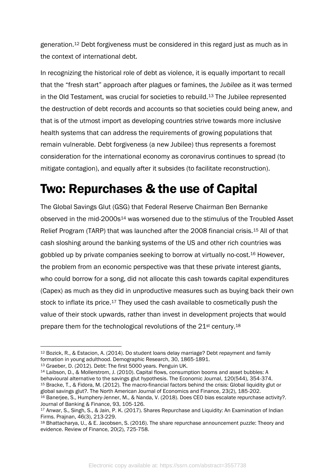generation.<sup>12</sup> Debt forgiveness must be considered in this regard just as much as in the context of international debt.

In recognizing the historical role of debt as violence, it is equally important to recall that the "fresh start" approach after plagues or famines, the J*ubilee* as it was termed in the Old Testament, was crucial for societies to rebuild.<sup>13</sup> The Jubilee represented the destruction of debt records and accounts so that societies could being anew, and that is of the utmost import as developing countries strive towards more inclusive health systems that can address the requirements of growing populations that remain vulnerable. Debt forgiveness (a new Jubilee) thus represents a foremost consideration for the international economy as coronavirus continues to spread (to mitigate contagion), and equally after it subsides (to facilitate reconstruction).

## <span id="page-5-0"></span>Two: Repurchases & the use of Capital

The Global Savings Glut (GSG) that Federal Reserve Chairman Ben Bernanke observed in the mid-2000s<sup>14</sup> was worsened due to the stimulus of the Troubled Asset Relief Program (TARP) that was launched after the 2008 financial crisis.<sup>15</sup> All of that cash sloshing around the banking systems of the US and other rich countries was gobbled up by private companies seeking to borrow at virtually no-cost.<sup>16</sup> However, the problem from an economic perspective was that these private interest giants, who could borrow for a song, did not allocate this cash towards capital expenditures (Capex) as much as they did in unproductive measures such as buying back their own stock to inflate its price.<sup>17</sup> They used the cash available to cosmetically push the value of their stock upwards, rather than invest in development projects that would prepare them for the technological revolutions of the 21st century.<sup>18</sup>

<sup>14</sup> Laibson, D., & Mollerstrom, J. (2010). Capital flows, consumption booms and asset bubbles: A behavioural alternative to the savings glut hypothesis. The Economic Journal, 120(544), 354-374. <sup>15</sup> Bracke, T., & Fidora, M. (2012). The macro-financial factors behind the crisis: Global liquidity glut or global savings glut?. The North American Journal of Economics and Finance, 23(2), 185-202. <sup>16</sup> Banerjee, S., Humphery-Jenner, M., & Nanda, V. (2018). Does CEO bias escalate repurchase activity?.

<sup>12</sup> Bozick, R., & Estacion, A. (2014). Do student loans delay marriage? Debt repayment and family formation in young adulthood. Demographic Research, 30, 1865-1891.

<sup>13</sup> Graeber, D. (2012). Debt: The first 5000 years. Penguin UK.

Journal of Banking & Finance, 93, 105-126.

<sup>&</sup>lt;sup>17</sup> Anwar, S., Singh, S., & Jain, P. K. (2017). Shares Repurchase and Liquidity: An Examination of Indian Firms. Prajnan, 46(3), 213-229.

<sup>18</sup> Bhattacharya, U., & E. Jacobsen, S. (2016). The share repurchase announcement puzzle: Theory and evidence. Review of Finance, 20(2), 725-758.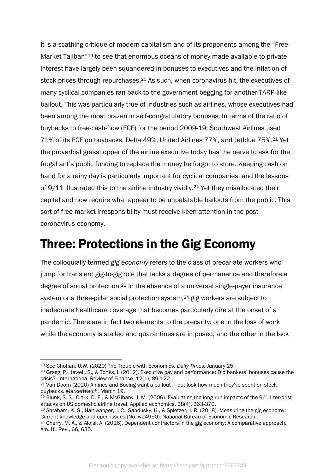It is a scathing critique of modern capitalism and of its proponents among the "Free-Market Taliban"<sup>19</sup> to see that enormous oceans of money made available to private interest have largely been squandered in bonuses to executives and the inflation of stock prices through repurchases.<sup>20</sup> As such, when coronavirus hit, the executives of many cyclical companies ran back to the government begging for another TARP-like bailout. This was particularly true of industries such as airlines, whose executives had been among the most brazen in self-congratulatory bonuses. In terms of the ratio of buybacks to free-cash-flow (FCF) for the period 2009-19: Southwest Airlines used 71% of its FCF on buybacks, Delta 49%, United Airlines 77%, and Jetblue 75%.<sup>21</sup> Yet the proverbial grasshopper of the airline executive today has the nerve to ask for the frugal ant's public funding to replace the money he forgot to store. Keeping cash on hand for a rainy day is particularly important for cyclical companies, and the lessons of 9/11 illustrated this to the airline industry vividly.<sup>22</sup> Yet they misallocated their capital and now require what appear to be unpalatable bailouts from the public. This sort of free market irresponsibility must receive keen attention in the postcoronavirus economy.

#### <span id="page-6-0"></span>Three: Protections in the Gig Economy

The colloquially-termed *gig economy* refers to the class of precariate workers who jump for transient gig-to-gig role that lacks a degree of permanence and therefore a degree of social protection.<sup>23</sup> In the absence of a universal single-payer insurance system or a three-pillar social protection system,<sup>24</sup> gig workers are subject to inadequate healthcare coverage that becomes particularly dire at the onset of a pandemic. There are in fact two elements to the precarity: one in the loss of work while the economy is stalled and quarantines are imposed, and the other in the lack

<sup>19</sup> See Chohan, U.W. (2020) The Trouble with Economics. *Daily Times.* January 25.

<sup>20</sup> Gregg, P., Jewell, S., & Tonks, I. (2012). Executive pay and performance: Did bankers' bonuses cause the crisis?. International Review of Finance, 12(1), 89-122.

<sup>21</sup> Van Doorn (2020) Airlines and Boeing want a bailout — but look how much they've spent on stock buybacks. *MarketWatch.* March 19.

<sup>22</sup> Blunk, S. S., Clark, D. E., & McGibany, J. M. (2006). Evaluating the long-run impacts of the 9/11 terrorist attacks on US domestic airline travel. Applied economics, 38(4), 363-370.

<sup>23</sup> Abraham, K. G., Haltiwanger, J. C., Sandusky, K., & Spletzer, J. R. (2018). Measuring the gig economy: Current knowledge and open issues (No. w24950). National Bureau of Economic Research.

<sup>24</sup> Cherry, M. A., & Aloisi, A. (2016). Dependent contractors in the gig economy: A comparative approach. Am. UL Rev., 66, 635.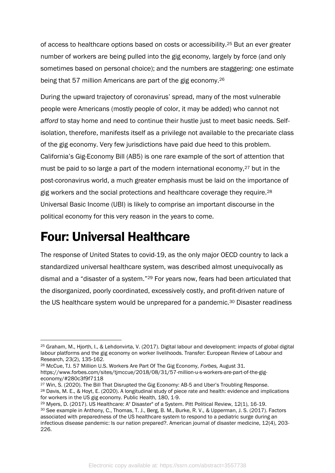of access to healthcare options based on costs or accessibility.<sup>25</sup> But an ever greater number of workers are being pulled into the gig economy, largely by force (and only sometimes based on personal choice); and the numbers are staggering: one estimate being that 57 million Americans are part of the gig economy.<sup>26</sup>

During the upward trajectory of coronavirus' spread, many of the most vulnerable people were Americans (mostly people of color, it may be added) who cannot not *afford* to stay home and need to continue their hustle just to meet basic needs. Selfisolation, therefore, manifests itself as a privilege not available to the precariate class of the gig economy. Very few jurisdictions have paid due heed to this problem. California's Gig-Economy Bill (AB5) is one rare example of the sort of attention that must be paid to so large a part of the modern international economy,<sup>27</sup> but in the post-coronavirus world, a much greater emphasis must be laid on the importance of gig workers and the social protections and healthcare coverage they require.<sup>28</sup> Universal Basic Income (UBI) is likely to comprise an important discourse in the political economy for this very reason in the years to come.

## <span id="page-7-0"></span>Four: Universal Healthcare

The response of United States to covid-19, as the only major OECD country to lack a standardized universal healthcare system, was described almost unequivocally as dismal and a "disaster of a system."<sup>29</sup> For years now, fears had been articulated that the disorganized, poorly coordinated, excessively costly, and profit-driven nature of the US healthcare system would be unprepared for a pandemic.<sup>30</sup> Disaster readiness

<sup>25</sup> Graham, M., Hjorth, I., & Lehdonvirta, V. (2017). Digital labour and development: impacts of global digital labour platforms and the gig economy on worker livelihoods. Transfer: European Review of Labour and Research, 23(2), 135-162.

<sup>26</sup> McCue, TJ. 57 Million U.S. Workers Are Part Of The Gig Economy, *Forbes,* August 31. https://www.forbes.com/sites/tjmccue/2018/08/31/57-million-u-s-workers-are-part-of-the-gigeconomy/#280c3f9f7118

<sup>27</sup> Win, S. (2020). The Bill That Disrupted the Gig Economy: AB-5 and Uber's Troubling Response. <sup>28</sup> Davis, M. E., & Hoyt, E. (2020). A longitudinal study of piece rate and health: evidence and implications for workers in the US gig economy. Public Health, 180, 1-9.

<sup>29</sup> Myers, D. (2017). US Healthcare: A" Disaster" of a System. Pitt Political Review, 12(1), 16-19. <sup>30</sup> See example in Anthony, C., Thomas, T. J., Berg, B. M., Burke, R. V., & Upperman, J. S. (2017). Factors associated with preparedness of the US healthcare system to respond to a pediatric surge during an infectious disease pandemic: Is our nation prepared?. American journal of disaster medicine, 12(4), 203- 226.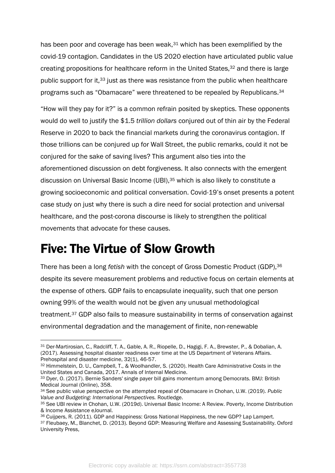has been poor and coverage has been weak,<sup>31</sup> which has been exemplified by the covid-19 contagion. Candidates in the US 2020 election have articulated public value creating propositions for healthcare reform in the United States,<sup>32</sup> and there is large public support for it,<sup>33</sup> just as there was resistance from the public when healthcare programs such as "Obamacare" were threatened to be repealed by Republicans. 34

"How will they pay for it?" is a common refrain posited by skeptics. These opponents would do well to justify the \$1.5 *trillion dollars* conjured out of thin air by the Federal Reserve in 2020 to back the financial markets during the coronavirus contagion. If those trillions can be conjured up for Wall Street, the public remarks, could it not be conjured for the sake of saving lives? This argument also ties into the aforementioned discussion on debt forgiveness. It also connects with the emergent discussion on Universal Basic Income (UBI),<sup>35</sup> which is also likely to constitute a growing socioeconomic and political conversation. Covid-19's onset presents a potent case study on just why there is such a dire need for social protection and universal healthcare, and the post-corona discourse is likely to strengthen the political movements that advocate for these causes.

#### <span id="page-8-0"></span>Five: The Virtue of Slow Growth

There has been a long *fetish* with the concept of Gross Domestic Product (GDP), 36 despite its severe measurement problems and reductive focus on certain elements at the expense of others. GDP fails to encapsulate inequality, such that one person owning 99% of the wealth would not be given any unusual methodological treatment.<sup>37</sup> GDP also fails to measure sustainability in terms of conservation against environmental degradation and the management of finite, non-renewable

32 Himmelstein, D. U., Campbell, T., & Woolhandler, S. (2020). Health Care Administrative Costs in the United States and Canada, 2017. Annals of Internal Medicine.

<sup>31</sup> Der-Martirosian, C., Radcliff, T. A., Gable, A. R., Riopelle, D., Hagigi, F. A., Brewster, P., & Dobalian, A. (2017). Assessing hospital disaster readiness over time at the US Department of Veterans Affairs. Prehospital and disaster medicine, 32(1), 46-57.

<sup>33</sup> Dyer, O. (2017). Bernie Sanders' single payer bill gains momentum among Democrats. BMJ: British Medical Journal (Online), 358.

<sup>34</sup> See public value perspective on the attempted repeal of Obamacare in Chohan, U.W. (2019). *Public Value and Budgeting: International Perspectives.* Routledge.

<sup>35</sup> See UBI review in Chohan, U.W. (2019d). Universal Basic Income: A Review. Poverty, Income Distribution & Income Assistance eJournal.

<sup>36</sup> Cuijpers, R. (2011). GDP and Happiness: Gross National Happiness, the new GDP? Lap Lampert. 37 Fleubaey, M., Blanchet, D. (2013). Beyond GDP: Measuring Welfare and Assessing Sustainability. Oxford University Press,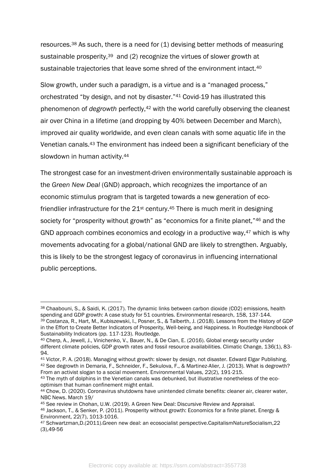resources.<sup>38</sup> As such, there is a need for (1) devising better methods of measuring sustainable prosperity,<sup>39</sup> and (2) recognize the virtues of slower growth at sustainable trajectories that leave some shred of the environment intact.<sup>40</sup>

Slow growth, under such a paradigm, is a virtue and is a "managed process," orchestrated "by design, and not by disaster."<sup>41</sup> Covid-19 has illustrated this phenomenon of *degrowth* perfectly, <sup>42</sup> with the world carefully observing the cleanest air over China in a lifetime (and dropping by 40% between December and March), improved air quality worldwide, and even clean canals with some aquatic life in the Venetian canals.<sup>43</sup> The environment has indeed been a significant beneficiary of the slowdown in human activity.<sup>44</sup>

The strongest case for an investment-driven environmentally sustainable approach is the *Green New Deal* (GND) approach, which recognizes the importance of an economic stimulus program that is targeted towards a new generation of ecofriendlier infrastructure for the 21<sup>st</sup> century.<sup>45</sup> There is much merit in designing society for "prosperity without growth" as "economics for a finite planet,"<sup>46</sup> and the GND approach combines economics and ecology in a productive way,<sup>47</sup> which is why movements advocating for a global/national GND are likely to strengthen. Arguably, this is likely to be the strongest legacy of coronavirus in influencing international public perceptions.

<sup>38</sup> Chaabouni, S., & Saidi, K. (2017). The dynamic links between carbon dioxide (CO2) emissions, health spending and GDP growth: A case study for 51 countries. Environmental research, 158, 137-144. <sup>39</sup> Costanza, R., Hart, M., Kubiszewski, I., Posner, S., & Talberth, J. (2018). Lessons from the History of GDP in the Effort to Create Better Indicators of Prosperity, Well-being, and Happiness. In Routledge Handbook of Sustainability Indicators (pp. 117-123). Routledge.

<sup>40</sup> Cherp, A., Jewell, J., Vinichenko, V., Bauer, N., & De Cian, E. (2016). Global energy security under different climate policies, GDP growth rates and fossil resource availabilities. Climatic Change, 136(1), 83-94.

<sup>41</sup> Victor, P. A. (2018). Managing without growth: slower by design, not disaster. Edward Elgar Publishing. <sup>42</sup> See degrowth in Demaria, F., Schneider, F., Sekulova, F., & Martinez-Alier, J. (2013). What is degrowth? From an activist slogan to a social movement. Environmental Values, 22(2), 191-215.

<sup>43</sup> The myth of dolphins in the Venetian canals was debunked, but illustrative nonetheless of the ecooptimism that human confinement might entail.

<sup>44</sup> Chow, D. (2020). Coronavirus shutdowns have unintended climate benefits: cleaner air, clearer water, NBC News. March 19/

<sup>45</sup> See review in Chohan, U.W. (2019). A Green New Deal: Discursive Review and Appraisal.

<sup>46</sup> Jackson, T., & Senker, P. (2011). Prosperity without growth: Economics for a finite planet. Energy & Environment, 22(7), 1013-1016.

<sup>47</sup> Schwartzman,D.(2011).Green new deal: an ecosocialist perspective.CapitalismNatureSocialism,22 (3),49-56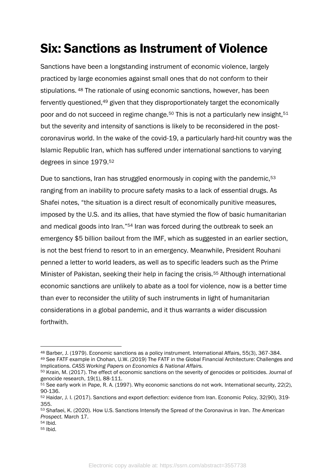# <span id="page-10-0"></span>Six: Sanctions as Instrument of Violence

Sanctions have been a longstanding instrument of economic violence, largely practiced by large economies against small ones that do not conform to their stipulations. <sup>48</sup> The rationale of using economic sanctions, however, has been fervently questioned,<sup>49</sup> given that they disproportionately target the economically poor and do not succeed in regime change.<sup>50</sup> This is not a particularly new insight,<sup>51</sup> but the severity and intensity of sanctions is likely to be reconsidered in the postcoronavirus world. In the wake of the covid-19, a particularly hard-hit country was the Islamic Republic Iran, which has suffered under international sanctions to varying degrees in since 1979.<sup>52</sup>

Due to sanctions, Iran has struggled enormously in coping with the pandemic,<sup>53</sup> ranging from an inability to procure safety masks to a lack of essential drugs. As Shafei notes, "the situation is a direct result of economically punitive measures, imposed by the U.S. and its allies, that have stymied the flow of basic humanitarian and medical goods into Iran."<sup>54</sup> Iran was forced during the outbreak to seek an emergency \$5 billion bailout from the IMF, which as suggested in an earlier section, is not the best friend to resort to in an emergency. Meanwhile, President Rouhani penned a letter to world leaders, as well as to specific leaders such as the Prime Minister of Pakistan, seeking their help in facing the crisis.<sup>55</sup> Although international economic sanctions are unlikely to abate as a tool for violence, now is a better time than ever to reconsider the utility of such instruments in light of humanitarian considerations in a global pandemic, and it thus warrants a wider discussion forthwith.

<sup>48</sup> Barber, J. (1979). Economic sanctions as a policy instrument. International Affairs, 55(3), 367-384. <sup>49</sup> See FATF example in Chohan, U.W. (2019) The FATF in the Global Financial Architecture: Challenges and Implications. *CASS Working Papers on Economics & National Affairs.*

<sup>50</sup> Krain, M. (2017). The effect of economic sanctions on the severity of genocides or politicides. Journal of genocide research, 19(1), 88-111.

<sup>51</sup> See early work in Pape, R. A. (1997). Why economic sanctions do not work. International security, 22(2), 90-136.

<sup>52</sup> Haidar, J. I. (2017). Sanctions and export deflection: evidence from Iran. Economic Policy, 32(90), 319- 355.

<sup>53</sup> Shafaei, K. (2020). How U.S. Sanctions Intensify the Spread of the Coronavirus in Iran. *The American Prospect.* March 17.

<sup>54</sup> Ibid.

<sup>55</sup> Ibid.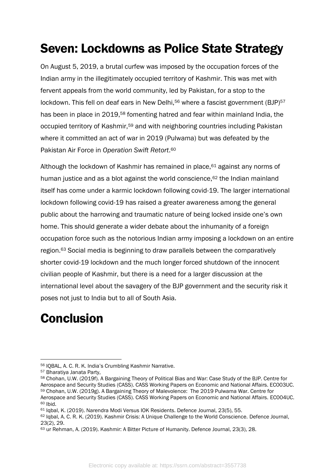# <span id="page-11-0"></span>Seven: Lockdowns as Police State Strategy

On August 5, 2019, a brutal curfew was imposed by the occupation forces of the Indian army in the illegitimately occupied territory of Kashmir. This was met with fervent appeals from the world community, led by Pakistan, for a stop to the lockdown. This fell on deaf ears in New Delhi,<sup>56</sup> where a fascist government (BJP)<sup>57</sup> has been in place in 2019,<sup>58</sup> fomenting hatred and fear within mainland India, the occupied territory of Kashmir,<sup>59</sup> and with neighboring countries including Pakistan where it committed an act of war in 2019 (Pulwama) but was defeated by the Pakistan Air Force in *Operation Swift Retort*. 60

Although the lockdown of Kashmir has remained in place, $61$  against any norms of human justice and as a blot against the world conscience,<sup>62</sup> the Indian mainland itself has come under a karmic lockdown following covid-19. The larger international lockdown following covid-19 has raised a greater awareness among the general public about the harrowing and traumatic nature of being locked inside one's own home. This should generate a wider debate about the inhumanity of a foreign occupation force such as the notorious Indian army imposing a lockdown on an entire region.<sup>63</sup> Social media is beginning to draw parallels between the comparatively shorter covid-19 lockdown and the much longer forced shutdown of the innocent civilian people of Kashmir, but there is a need for a larger discussion at the international level about the savagery of the BJP government and the security risk it poses not just to India but to all of South Asia.

# <span id="page-11-1"></span>**Conclusion**

<sup>56</sup> IQBAL, A. C. R. K. India's Crumbling Kashmir Narrative.

<sup>57</sup> Bharatiya Janata Party,

<sup>58</sup> Chohan, U.W. (2019f). A Bargaining Theory of Political Bias and War: Case Study of the BJP. Centre for Aerospace and Security Studies (CASS). CASS Working Papers on Economic and National Affairs. EC003UC. <sup>59</sup> Chohan, U.W. (2019g). A Bargaining Theory of Malevolence: The 2019 Pulwama War. Centre for Aerospace and Security Studies (CASS). CASS Working Papers on Economic and National Affairs. EC004UC.

<sup>60</sup> Ibid.

<sup>61</sup> Iqbal, K. (2019). Narendra Modi Versus IOK Residents. Defence Journal, 23(5), 55.

<sup>62</sup> Iqbal, A. C. R. K. (2019). Kashmir Crisis: A Unique Challenge to the World Conscience. Defence Journal, 23(2), 29.

<sup>63</sup> ur Rehman, A. (2019). Kashmir: A Bitter Picture of Humanity. Defence Journal, 23(3), 28.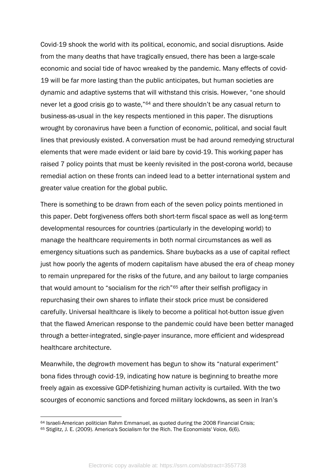Covid-19 shook the world with its political, economic, and social disruptions. Aside from the many deaths that have tragically ensued, there has been a large-scale economic and social tide of havoc wreaked by the pandemic. Many effects of covid-19 will be far more lasting than the public anticipates, but human societies are dynamic and adaptive systems that will withstand this crisis. However, "one should never let a good crisis go to waste,"<sup>64</sup> and there shouldn't be any casual return to business-as-usual in the key respects mentioned in this paper. The disruptions wrought by coronavirus have been a function of economic, political, and social fault lines that previously existed. A conversation must be had around remedying structural elements that were made evident or laid bare by covid-19. This working paper has raised 7 policy points that must be keenly revisited in the post-corona world, because remedial action on these fronts can indeed lead to a better international system and greater value creation for the global public.

There is something to be drawn from each of the seven policy points mentioned in this paper. Debt forgiveness offers both short-term fiscal space as well as long-term developmental resources for countries (particularly in the developing world) to manage the healthcare requirements in both normal circumstances as well as emergency situations such as pandemics. Share buybacks as a use of capital reflect just how poorly the agents of modern capitalism have abused the era of cheap money to remain unprepared for the risks of the future, and any bailout to large companies that would amount to "socialism for the rich"<sup>65</sup> after their selfish profligacy in repurchasing their own shares to inflate their stock price must be considered carefully. Universal healthcare is likely to become a political hot-button issue given that the flawed American response to the pandemic could have been better managed through a better-integrated, single-payer insurance, more efficient and widespread healthcare architecture.

Meanwhile, the *degrowth* movement has begun to show its "natural experiment" bona fides through covid-19, indicating how nature is beginning to breathe more freely again as excessive GDP-fetishizing human activity is curtailed. With the two scourges of economic sanctions and forced military lockdowns, as seen in Iran's

<sup>64</sup> Israeli-American politician Rahm Emmanuel, as quoted during the 2008 Financial Crisis;

<sup>65</sup> Stiglitz, J. E. (2009). America's Socialism for the Rich. The Economists' Voice, 6(6).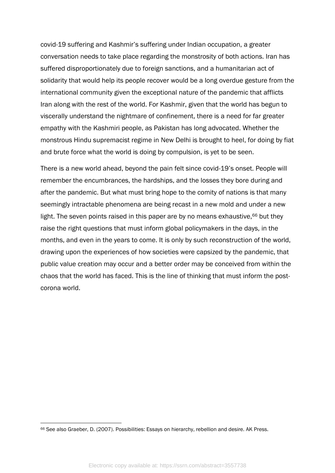covid-19 suffering and Kashmir's suffering under Indian occupation, a greater conversation needs to take place regarding the monstrosity of both actions. Iran has suffered disproportionately due to foreign sanctions, and a humanitarian act of solidarity that would help its people recover would be a long overdue gesture from the international community given the exceptional nature of the pandemic that afflicts Iran along with the rest of the world. For Kashmir, given that the world has begun to viscerally understand the nightmare of confinement, there is a need for far greater empathy with the Kashmiri people, as Pakistan has long advocated. Whether the monstrous Hindu supremacist regime in New Delhi is brought to heel, for doing by fiat and brute force what the world is doing by compulsion, is yet to be seen.

There is a new world ahead, beyond the pain felt since covid-19's onset. People will remember the encumbrances, the hardships, and the losses they bore during and after the pandemic. But what must bring hope to the comity of nations is that many seemingly intractable phenomena are being recast in a new mold and under a new light. The seven points raised in this paper are by no means exhaustive,<sup>66</sup> but they raise the right questions that must inform global policymakers in the days, in the months, and even in the years to come. It is only by such reconstruction of the world, drawing upon the experiences of how societies were capsized by the pandemic, that public value creation may occur and a better order may be conceived from within the chaos that the world has faced. This is the line of thinking that must inform the postcorona world.

<sup>66</sup> See also Graeber, D. (2007). Possibilities: Essays on hierarchy, rebellion and desire. AK Press.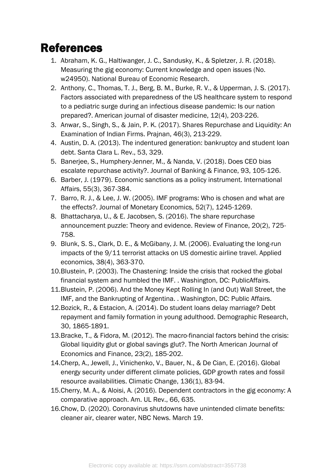#### <span id="page-14-0"></span>References

- 1. Abraham, K. G., Haltiwanger, J. C., Sandusky, K., & Spletzer, J. R. (2018). Measuring the gig economy: Current knowledge and open issues (No. w24950). National Bureau of Economic Research.
- 2. Anthony, C., Thomas, T. J., Berg, B. M., Burke, R. V., & Upperman, J. S. (2017). Factors associated with preparedness of the US healthcare system to respond to a pediatric surge during an infectious disease pandemic: Is our nation prepared?. American journal of disaster medicine, 12(4), 203-226.
- 3. Anwar, S., Singh, S., & Jain, P. K. (2017). Shares Repurchase and Liquidity: An Examination of Indian Firms. Prajnan, 46(3), 213-229.
- 4. Austin, D. A. (2013). The indentured generation: bankruptcy and student loan debt. Santa Clara L. Rev., 53, 329.
- 5. Banerjee, S., Humphery-Jenner, M., & Nanda, V. (2018). Does CEO bias escalate repurchase activity?. Journal of Banking & Finance, 93, 105-126.
- 6. Barber, J. (1979). Economic sanctions as a policy instrument. International Affairs, 55(3), 367-384.
- 7. Barro, R. J., & Lee, J. W. (2005). IMF programs: Who is chosen and what are the effects?. Journal of Monetary Economics, 52(7), 1245-1269.
- 8. Bhattacharya, U., & E. Jacobsen, S. (2016). The share repurchase announcement puzzle: Theory and evidence. Review of Finance, 20(2), 725- 758.
- 9. Blunk, S. S., Clark, D. E., & McGibany, J. M. (2006). Evaluating the long-run impacts of the 9/11 terrorist attacks on US domestic airline travel. Applied economics, 38(4), 363-370.
- 10.Blustein, P. (2003). The Chastening: Inside the crisis that rocked the global financial system and humbled the IMF. . Washington, DC: PublicAffairs.
- 11.Blustein, P. (2006). And the Money Kept Rolling In (and Out) Wall Street, the IMF, and the Bankrupting of Argentina. . Washington, DC: Public Affairs.
- 12.Bozick, R., & Estacion, A. (2014). Do student loans delay marriage? Debt repayment and family formation in young adulthood. Demographic Research, 30, 1865-1891.
- 13.Bracke, T., & Fidora, M. (2012). The macro-financial factors behind the crisis: Global liquidity glut or global savings glut?. The North American Journal of Economics and Finance, 23(2), 185-202.
- 14.Cherp, A., Jewell, J., Vinichenko, V., Bauer, N., & De Cian, E. (2016). Global energy security under different climate policies, GDP growth rates and fossil resource availabilities. Climatic Change, 136(1), 83-94.
- 15.Cherry, M. A., & Aloisi, A. (2016). Dependent contractors in the gig economy: A comparative approach. Am. UL Rev., 66, 635.
- 16.Chow, D. (2020). Coronavirus shutdowns have unintended climate benefits: cleaner air, clearer water, NBC News. March 19.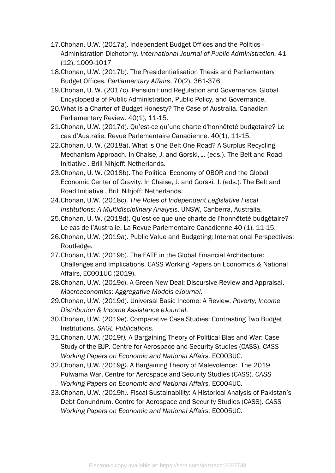- 17.Chohan, U.W. (2017a). Independent Budget Offices and the Politics– Administration Dichotomy. *International Journal of Public Administration.* 41 (12), 1009-1017
- 18.Chohan, U.W. (2017b). The Presidentialisation Thesis and Parliamentary Budget Offices. *Parliamentary Affairs*. 70(2), 361-376.
- 19.Chohan, U. W. (2017c). Pension Fund Regulation and Governance. Global Encyclopedia of Public Administration, Public Policy, and Governance.
- 20.What is a Charter of Budget Honesty? The Case of Australia. Canadian Parliamentary Review. 40(1), 11-15.
- 21.Chohan, U.W. (2017d). Qu'est-ce qu'une charte d'honnêteté budgetaire? Le cas d'Australie. Revue Parlementaire Canadienne. 40(1), 11-15.
- 22.Chohan, U. W. (2018a). What is One Belt One Road? A Surplus Recycling Mechanism Approach. In Chaise, J. and Gorski, J. (eds.). The Belt and Road Initiative . Brill Nihjoff: Netherlands.
- 23.Chohan, U. W. (2018b). The Political Economy of OBOR and the Global Economic Center of Gravity. In Chaise, J. and Gorski, J. (eds.). The Belt and Road Initiative . Brill Nihjoff: Netherlands.
- 24.Chohan, U.W. (2018c). *The Roles of Independent Legislative Fiscal Institutions: A Multidisciplinary Analysis.* UNSW, Canberra, Australia.
- 25.Chohan, U. W. (2018d). Qu'est-ce que une charte de l'honnêteté budgétaire? Le cas de l'Australie. La Revue Parlementaire Canadienne 40 (1), 11-15.
- 26.Chohan, U.W. (2019a). Public Value and Budgeting: International Perspectives: Routledge.
- 27.Chohan, U.W. (2019b). The FATF in the Global Financial Architecture: Challenges and Implications. CASS Working Papers on Economics & National Affairs, EC001UC (2019).
- 28.Chohan, U.W. (2019c). A Green New Deal: Discursive Review and Appraisal. *Macroeconomics: Aggregative Models eJournal.*
- *29.*Chohan, U.W. (2019d). Universal Basic Income: A Review. *Poverty, Income Distribution & Income Assistance eJournal.*
- 30.Chohan, U.W. (2019e). Comparative Case Studies: Contrasting Two Budget Institutions. *SAGE Publications*.
- 31.Chohan, U.W. *(*2019f*).* A Bargaining Theory of Political Bias and War: Case Study of the BJP. Centre for Aerospace and Security Studies (CASS). *CASS Working Papers on Economic and National Affairs.* EC003UC.
- 32.Chohan, U.W. *(*2019g*).* A Bargaining Theory of Malevolence: The 2019 Pulwama War. Centre for Aerospace and Security Studies (CASS). *CASS Working Papers on Economic and National Affairs.* EC004UC.
- 33.Chohan, U.W. *(*2019h*).* Fiscal Sustainability: A Historical Analysis of Pakistan's Debt Conundrum. Centre for Aerospace and Security Studies (CASS). *CASS Working Papers on Economic and National Affairs.* EC005UC.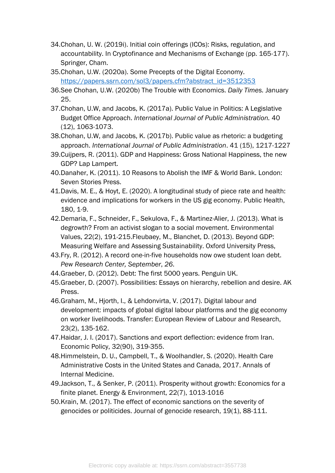- 34.Chohan, U. W. (2019i). Initial coin offerings (ICOs): Risks, regulation, and accountability. In Cryptofinance and Mechanisms of Exchange (pp. 165-177). Springer, Cham.
- 35.Chohan, U.W. (2020a). Some Precepts of the Digital Economy. [https://papers.ssrn.com/sol3/papers.cfm?abstract\\_id=3512353](https://papers.ssrn.com/sol3/papers.cfm?abstract_id=3512353)
- 36.See Chohan, U.W. (2020b) The Trouble with Economics. *Daily Times.* January 25.
- 37.Chohan, U.W, and Jacobs, K. (2017a). Public Value in Politics: A Legislative Budget Office Approach. *International Journal of Public Administration.* 40 (12), 1063-1073.
- 38.Chohan, U.W, and Jacobs, K. (2017b). Public value as rhetoric: a budgeting approach. *International Journal of Public Administration*. 41 (15), 1217-1227
- 39.Cuijpers, R. (2011). GDP and Happiness: Gross National Happiness, the new GDP? Lap Lampert.
- 40.Danaher, K. (2011). 10 Reasons to Abolish the IMF & World Bank. London: Seven Stories Press.
- 41.Davis, M. E., & Hoyt, E. (2020). A longitudinal study of piece rate and health: evidence and implications for workers in the US gig economy. Public Health, 180, 1-9.
- 42.Demaria, F., Schneider, F., Sekulova, F., & Martinez-Alier, J. (2013). What is degrowth? From an activist slogan to a social movement. Environmental Values, 22(2), 191-215.Fleubaey, M., Blanchet, D. (2013). Beyond GDP: Measuring Welfare and Assessing Sustainability. Oxford University Press,
- 43.Fry, R. (2012). A record one-in-five households now owe student loan debt. *Pew Research Center, September*, *26*.
- 44.Graeber, D. (2012). Debt: The first 5000 years. Penguin UK.
- 45.Graeber, D. (2007). Possibilities: Essays on hierarchy, rebellion and desire. AK Press.
- 46.Graham, M., Hjorth, I., & Lehdonvirta, V. (2017). Digital labour and development: impacts of global digital labour platforms and the gig economy on worker livelihoods. Transfer: European Review of Labour and Research, 23(2), 135-162.
- 47.Haidar, J. I. (2017). Sanctions and export deflection: evidence from Iran. Economic Policy, 32(90), 319-355.
- 48.Himmelstein, D. U., Campbell, T., & Woolhandler, S. (2020). Health Care Administrative Costs in the United States and Canada, 2017. Annals of Internal Medicine.
- 49.Jackson, T., & Senker, P. (2011). Prosperity without growth: Economics for a finite planet. Energy & Environment, 22(7), 1013-1016
- 50.Krain, M. (2017). The effect of economic sanctions on the severity of genocides or politicides. Journal of genocide research, 19(1), 88-111.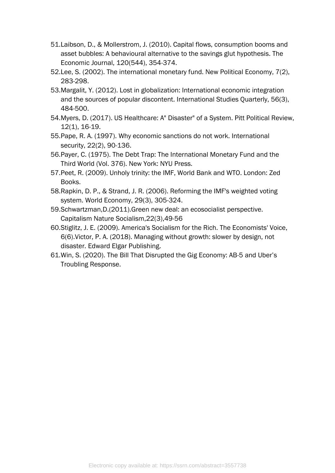- 51.Laibson, D., & Mollerstrom, J. (2010). Capital flows, consumption booms and asset bubbles: A behavioural alternative to the savings glut hypothesis. The Economic Journal, 120(544), 354-374.
- 52.Lee, S. (2002). The international monetary fund. New Political Economy, 7(2), 283-298.
- 53.Margalit, Y. (2012). Lost in globalization: International economic integration and the sources of popular discontent. International Studies Quarterly, 56(3), 484-500.
- 54.Myers, D. (2017). US Healthcare: A" Disaster" of a System. Pitt Political Review, 12(1), 16-19.
- 55.Pape, R. A. (1997). Why economic sanctions do not work. International security, 22(2), 90-136.
- 56.Payer, C. (1975). The Debt Trap: The International Monetary Fund and the Third World (Vol. 376). New York: NYU Press.
- 57.Peet, R. (2009). Unholy trinity: the IMF, World Bank and WTO. London: Zed Books.
- 58.Rapkin, D. P., & Strand, J. R. (2006). Reforming the IMF's weighted voting system. World Economy, 29(3), 305-324.
- 59.Schwartzman,D.(2011).Green new deal: an ecosocialist perspective. Capitalism Nature Socialism,22(3),49-56
- 60.Stiglitz, J. E. (2009). America's Socialism for the Rich. The Economists' Voice, 6(6).Victor, P. A. (2018). Managing without growth: slower by design, not disaster. Edward Elgar Publishing.
- 61.Win, S. (2020). The Bill That Disrupted the Gig Economy: AB-5 and Uber's Troubling Response.